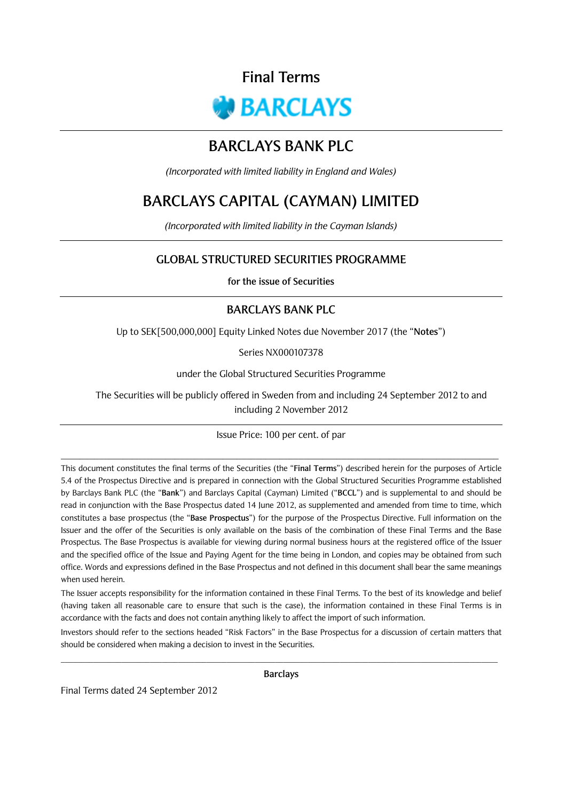

# **BARCLAYS BANK PLC**

(Incorporated with limited liability in England and Wales)

# **BARCLAYS CAPITAL (CAYMAN) LIMITED**

(Incorporated with limited liability in the Cayman Islands)

## **GLOBAL STRUCTURED SECURITIES PROGRAMME**

for the issue of Securities

## **BARCLAYS BANK PLC**

Up to SEK[500,000,000] Equity Linked Notes due November 2017 (the "Notes")

Series NX000107378

under the Global Structured Securities Programme

The Securities will be publicly offered in Sweden from and including 24 September 2012 to and including 2 November 2012

Issue Price: 100 per cent. of par

This document constitutes the final terms of the Securities (the "Final Terms") described herein for the purposes of Article 5.4 of the Prospectus Directive and is prepared in connection with the Global Structured Securities Programme established by Barclays Bank PLC (the "Bank") and Barclays Capital (Cayman) Limited ("BCCL") and is supplemental to and should be read in conjunction with the Base Prospectus dated 14 June 2012, as supplemented and amended from time to time, which constitutes a base prospectus (the "Base Prospectus") for the purpose of the Prospectus Directive. Full information on the Issuer and the offer of the Securities is only available on the basis of the combination of these Final Terms and the Base Prospectus. The Base Prospectus is available for viewing during normal business hours at the registered office of the Issuer and the specified office of the Issue and Paying Agent for the time being in London, and copies may be obtained from such office. Words and expressions defined in the Base Prospectus and not defined in this document shall bear the same meanings when used herein.

The Issuer accepts responsibility for the information contained in these Final Terms. To the best of its knowledge and belief (having taken all reasonable care to ensure that such is the case), the information contained in these Final Terms is in accordance with the facts and does not contain anything likely to affect the import of such information.

Investors should refer to the sections headed "Risk Factors" in the Base Prospectus for a discussion of certain matters that should be considered when making a decision to invest in the Securities.

**Barclays** 

Final Terms dated 24 September 2012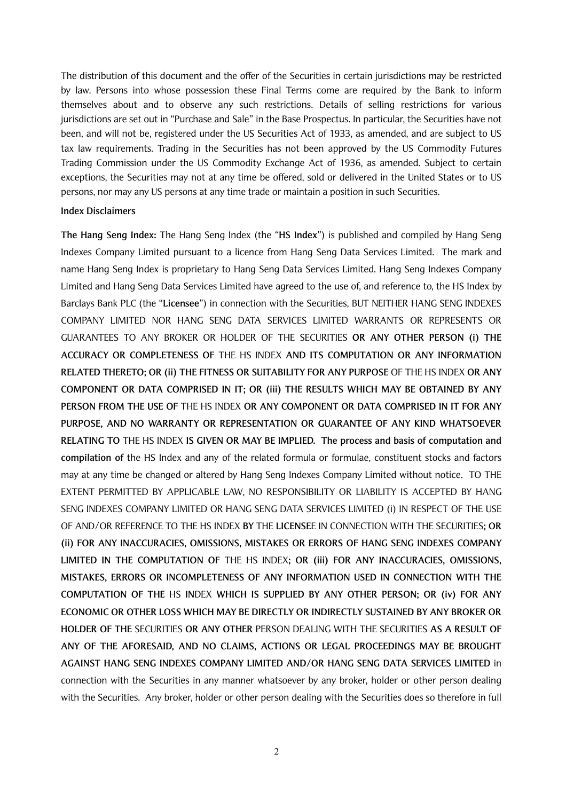The distribution of this document and the offer of the Securities in certain jurisdictions may be restricted by law. Persons into whose possession these Final Terms come are required by the Bank to inform themselves about and to observe any such restrictions. Details of selling restrictions for various jurisdictions are set out in "Purchase and Sale" in the Base Prospectus. In particular, the Securities have not been, and will not be, registered under the US Securities Act of 1933, as amended, and are subject to US tax law requirements. Trading in the Securities has not been approved by the US Commodity Futures Trading Commission under the US Commodity Exchange Act of 1936, as amended. Subject to certain exceptions, the Securities may not at any time be offered, sold or delivered in the United States or to US persons, nor may any US persons at any time trade or maintain a position in such Securities.

### **Index Disclaimers**

The Hang Seng Index: The Hang Seng Index (the "HS Index") is published and compiled by Hang Seng Indexes Company Limited pursuant to a licence from Hang Seng Data Services Limited. The mark and name Hang Seng Index is proprietary to Hang Seng Data Services Limited. Hang Seng Indexes Company Limited and Hang Seng Data Services Limited have agreed to the use of, and reference to, the HS Index by Barclays Bank PLC (the "Licensee") in connection with the Securities. BUT NEITHER HANG SENG INDEXES COMPANY LIMITED NOR HANG SENG DATA SERVICES LIMITED WARRANTS OR REPRESENTS OR GUARANTEES TO ANY BROKER OR HOLDER OF THE SECURITIES OR ANY OTHER PERSON (i) THE ACCURACY OR COMPLETENESS OF THE HS INDEX AND ITS COMPUTATION OR ANY INFORMATION RELATED THERETO: OR (ii) THE FITNESS OR SUITABILITY FOR ANY PURPOSE OF THE HS INDEX OR ANY COMPONENT OR DATA COMPRISED IN IT; OR (iii) THE RESULTS WHICH MAY BE OBTAINED BY ANY PERSON FROM THE USE OF THE HS INDEX OR ANY COMPONENT OR DATA COMPRISED IN IT FOR ANY PURPOSE. AND NO WARRANTY OR REPRESENTATION OR GUARANTEE OF ANY KIND WHATSOEVER RELATING TO THE HS INDEX IS GIVEN OR MAY BE IMPLIED. The process and basis of computation and compilation of the HS Index and any of the related formula or formulae, constituent stocks and factors may at any time be changed or altered by Hang Seng Indexes Company Limited without notice. TO THE EXTENT PERMITTED BY APPLICABLE LAW. NO RESPONSIBILITY OR LIABILITY IS ACCEPTED BY HANG SENG INDEXES COMPANY LIMITED OR HANG SENG DATA SERVICES LIMITED (i) IN RESPECT OF THE USE OF AND/OR REFERENCE TO THE HS INDEX BY THE LICENSEE IN CONNECTION WITH THE SECURITIES: OR (ii) FOR ANY INACCURACIES, OMISSIONS, MISTAKES OR ERRORS OF HANG SENG INDEXES COMPANY LIMITED IN THE COMPUTATION OF THE HS INDEX: OR (iii) FOR ANY INACCURACIES, OMISSIONS, MISTAKES, ERRORS OR INCOMPLETENESS OF ANY INFORMATION USED IN CONNECTION WITH THE COMPUTATION OF THE HS INDEX WHICH IS SUPPLIED BY ANY OTHER PERSON; OR (iv) FOR ANY ECONOMIC OR OTHER LOSS WHICH MAY BE DIRECTLY OR INDIRECTLY SUSTAINED BY ANY BROKER OR HOLDER OF THE SECURITIES OR ANY OTHER PERSON DEALING WITH THE SECURITIES AS A RESULT OF ANY OF THE AFORESAID, AND NO CLAIMS, ACTIONS OR LEGAL PROCEEDINGS MAY BE BROUGHT AGAINST HANG SENG INDEXES COMPANY LIMITED AND/OR HANG SENG DATA SERVICES LIMITED in connection with the Securities in any manner whatsoever by any broker, holder or other person dealing with the Securities. Any broker, holder or other person dealing with the Securities does so therefore in full

 $\overline{2}$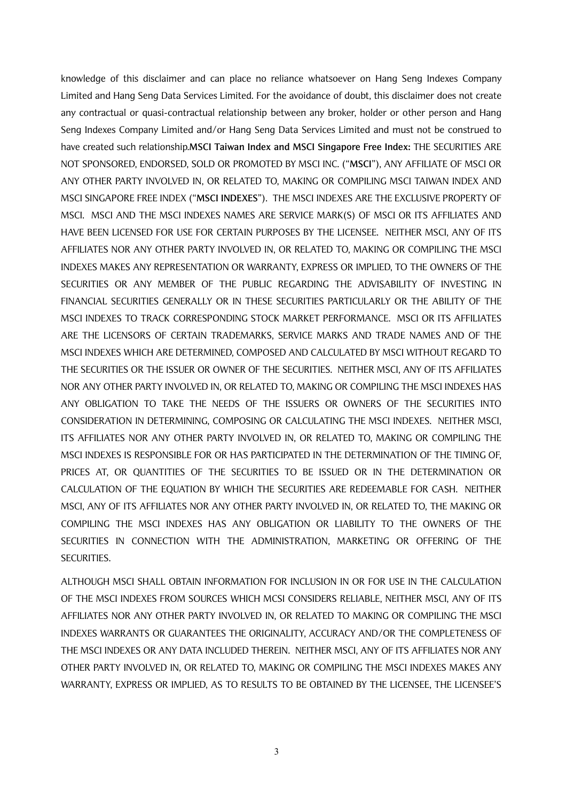knowledge of this disclaimer and can place no reliance whatsoever on Hang Seng Indexes Company Limited and Hang Seng Data Services Limited. For the avoidance of doubt, this disclaimer does not create any contractual or quasi-contractual relationship between any broker, holder or other person and Hang Seng Indexes Company Limited and/or Hang Seng Data Services Limited and must not be construed to have created such relationship.MSCI Taiwan Index and MSCI Singapore Free Index: THE SECURITIES ARE NOT SPONSORED, ENDORSED, SOLD OR PROMOTED BY MSCI INC. ("MSCI"), ANY AFFILIATE OF MSCI OR ANY OTHER PARTY INVOLVED IN, OR RELATED TO, MAKING OR COMPILING MSCI TAIWAN INDEX AND MSCI SINGAPORE FREE INDEX ("MSCI INDEXES"). THE MSCI INDEXES ARE THE EXCLUSIVE PROPERTY OF MSCI. MSCI AND THE MSCI INDEXES NAMES ARE SERVICE MARK(S) OF MSCI OR ITS AFFILIATES AND HAVE BEEN LICENSED FOR USE FOR CERTAIN PURPOSES BY THE LICENSEE. NEITHER MSCI, ANY OF ITS AFFILIATES NOR ANY OTHER PARTY INVOLVED IN, OR RELATED TO, MAKING OR COMPILING THE MSCI INDEXES MAKES ANY REPRESENTATION OR WARRANTY. EXPRESS OR IMPLIED. TO THE OWNERS OF THE SECURITIES OR ANY MEMBER OF THE PUBLIC REGARDING THE ADVISABILITY OF INVESTING IN FINANCIAL SECURITIES GENERALLY OR IN THESE SECURITIES PARTICULARLY OR THE ABILITY OF THE MSCI INDEXES TO TRACK CORRESPONDING STOCK MARKET PERFORMANCE. MSCI OR ITS AFFILIATES ARE THE LICENSORS OF CERTAIN TRADEMARKS, SERVICE MARKS AND TRADE NAMES AND OF THE MSCLINDEXES WHICH ARE DETERMINED. COMPOSED AND CALCULATED BY MSCLWITHOUT REGARD TO THE SECURITIES OR THE ISSUER OR OWNER OF THE SECURITIES. NEITHER MSCI, ANY OF ITS AFFILIATES NOR ANY OTHER PARTY INVOLVED IN, OR RELATED TO, MAKING OR COMPILING THE MSCI INDEXES HAS ANY OBLIGATION TO TAKE THE NEEDS OF THE ISSUERS OR OWNERS OF THE SECURITIES INTO CONSIDERATION IN DETERMINING, COMPOSING OR CALCULATING THE MSCI INDEXES. NEITHER MSCI, ITS AFFILIATES NOR ANY OTHER PARTY INVOLVED IN, OR RELATED TO, MAKING OR COMPILING THE MSCI INDEXES IS RESPONSIBLE FOR OR HAS PARTICIPATED IN THE DETERMINATION OF THE TIMING OF. PRICES AT, OR QUANTITIES OF THE SECURITIES TO BE ISSUED OR IN THE DETERMINATION OR CALCULATION OF THE EQUATION BY WHICH THE SECURITIES ARE REDEEMABLE FOR CASH. NEITHER MSCI, ANY OF ITS AFFILIATES NOR ANY OTHER PARTY INVOLVED IN, OR RELATED TO, THE MAKING OR COMPILING THE MSCI INDEXES HAS ANY OBLIGATION OR LIABILITY TO THE OWNERS OF THE SECURITIES IN CONNECTION WITH THE ADMINISTRATION, MARKETING OR OFFERING OF THE **SECURITIES.** 

ALTHOUGH MSCI SHALL OBTAIN INFORMATION FOR INCLUSION IN OR FOR USE IN THE CALCULATION OF THE MSCI INDEXES FROM SOURCES WHICH MCSI CONSIDERS RELIABLE. NEITHER MSCI. ANY OF ITS AFFILIATES NOR ANY OTHER PARTY INVOLVED IN. OR RELATED TO MAKING OR COMPILING THE MSCI INDEXES WARRANTS OR GUARANTEES THE ORIGINALITY. ACCURACY AND/OR THE COMPLETENESS OF THE MSCI INDEXES OR ANY DATA INCLUDED THEREIN. NEITHER MSCI, ANY OF ITS AFFILIATES NOR ANY OTHER PARTY INVOLVED IN. OR RELATED TO, MAKING OR COMPILING THE MSCI INDEXES MAKES ANY WARRANTY, EXPRESS OR IMPLIED. AS TO RESULTS TO BE OBTAINED BY THE LICENSEE. THE LICENSEE'S

 $\overline{3}$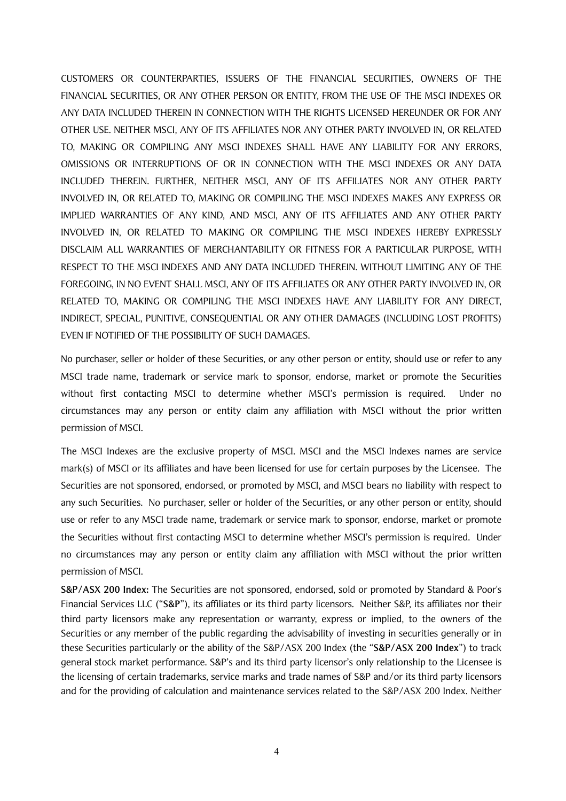CUSTOMERS OR COUNTERPARTIES, ISSUERS OF THE FINANCIAL SECURITIES, OWNERS OF THE FINANCIAL SECURITIES, OR ANY OTHER PERSON OR ENTITY, FROM THE USE OF THE MSCI INDEXES OR ANY DATA INCLUDED THEREIN IN CONNECTION WITH THE RIGHTS LICENSED HEREUNDER OR FOR ANY OTHER USE. NEITHER MSCI, ANY OF ITS AFFILIATES NOR ANY OTHER PARTY INVOLVED IN, OR RELATED TO, MAKING OR COMPILING ANY MSCI INDEXES SHALL HAVE ANY LIABILITY FOR ANY ERRORS, OMISSIONS OR INTERRUPTIONS OF OR IN CONNECTION WITH THE MSCI INDEXES OR ANY DATA INCLUDED THEREIN. FURTHER, NEITHER MSCI, ANY OF ITS AFFILIATES NOR ANY OTHER PARTY INVOLVED IN, OR RELATED TO, MAKING OR COMPILING THE MSCI INDEXES MAKES ANY EXPRESS OR IMPLIED WARRANTIES OF ANY KIND, AND MSCI, ANY OF ITS AFFILIATES AND ANY OTHER PARTY INVOLVED IN, OR RELATED TO MAKING OR COMPILING THE MSCI INDEXES HEREBY EXPRESSLY DISCLAIM ALL WARRANTIES OF MERCHANTABILITY OR FITNESS FOR A PARTICULAR PURPOSE, WITH RESPECT TO THE MSCLINDEXES AND ANY DATA INCLUDED THEREIN. WITHOUT LIMITING ANY OF THE FOREGOING, IN NO EVENT SHALL MSCI, ANY OF ITS AFFILIATES OR ANY OTHER PARTY INVOLVED IN, OR RELATED TO, MAKING OR COMPILING THE MSCI INDEXES HAVE ANY LIABILITY FOR ANY DIRECT, INDIRECT, SPECIAL, PUNITIVE, CONSEQUENTIAL OR ANY OTHER DAMAGES (INCLUDING LOST PROFITS) EVEN IF NOTIFIED OF THE POSSIBILITY OF SUCH DAMAGES.

No purchaser, seller or holder of these Securities, or any other person or entity, should use or refer to any MSCI trade name, trademark or service mark to sponsor, endorse, market or promote the Securities without first contacting MSCI to determine whether MSCI's permission is required. Under no circumstances may any person or entity claim any affiliation with MSCI without the prior written permission of MSCI.

The MSCI Indexes are the exclusive property of MSCI. MSCI and the MSCI Indexes names are service mark(s) of MSCI or its affiliates and have been licensed for use for certain purposes by the Licensee. The Securities are not sponsored, endorsed, or promoted by MSCI, and MSCI bears no liability with respect to any such Securities. No purchaser, seller or holder of the Securities, or any other person or entity, should use or refer to any MSCI trade name, trademark or service mark to sponsor, endorse, market or promote the Securities without first contacting MSCI to determine whether MSCI's permission is required. Under no circumstances may any person or entity claim any affiliation with MSCI without the prior written permission of MSCI.

S&P/ASX 200 Index: The Securities are not sponsored, endorsed, sold or promoted by Standard & Poor's Financial Services LLC ("S&P"), its affiliates or its third party licensors. Neither S&P, its affiliates nor their third party licensors make any representation or warranty, express or implied, to the owners of the Securities or any member of the public regarding the advisability of investing in securities generally or in these Securities particularly or the ability of the S&P/ASX 200 Index (the "S&P/ASX 200 Index") to track general stock market performance. S&P's and its third party licensor's only relationship to the Licensee is the licensing of certain trademarks, service marks and trade names of S&P and/or its third party licensors and for the providing of calculation and maintenance services related to the S&P/ASX 200 Index. Neither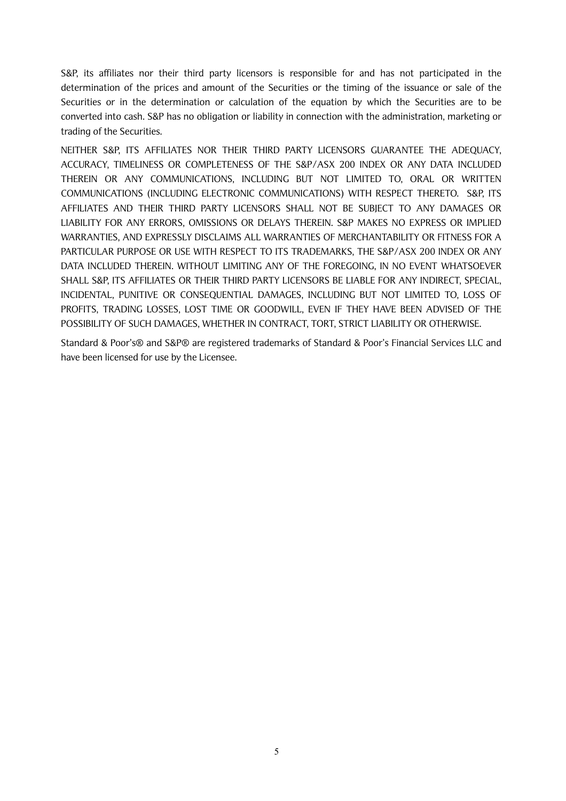S&P, its affiliates nor their third party licensors is responsible for and has not participated in the determination of the prices and amount of the Securities or the timing of the issuance or sale of the Securities or in the determination or calculation of the equation by which the Securities are to be converted into cash. S&P has no obligation or liability in connection with the administration, marketing or trading of the Securities.

NEITHER S&P, ITS AFFILIATES NOR THEIR THIRD PARTY LICENSORS GUARANTEE THE ADEQUACY, ACCURACY, TIMELINESS OR COMPLETENESS OF THE S&P/ASX 200 INDEX OR ANY DATA INCLUDED THEREIN OR ANY COMMUNICATIONS, INCLUDING BUT NOT LIMITED TO, ORAL OR WRITTEN COMMUNICATIONS (INCLUDING ELECTRONIC COMMUNICATIONS) WITH RESPECT THERETO. S&P, ITS AFFILIATES AND THEIR THIRD PARTY LICENSORS SHALL NOT BE SUBIECT TO ANY DAMAGES OR LIABILITY FOR ANY ERRORS, OMISSIONS OR DELAYS THEREIN. S&P MAKES NO EXPRESS OR IMPLIED WARRANTIES. AND EXPRESSLY DISCLAIMS ALL WARRANTIES OF MERCHANTABILITY OR FITNESS FOR A PARTICULAR PURPOSE OR USE WITH RESPECT TO ITS TRADEMARKS. THE S&P/ASX 200 INDEX OR ANY DATA INCLUDED THEREIN. WITHOUT LIMITING ANY OF THE FOREGOING, IN NO EVENT WHATSOEVER SHALL S&P, ITS AFFILIATES OR THEIR THIRD PARTY LICENSORS BE LIABLE FOR ANY INDIRECT, SPECIAL, INCIDENTAL, PUNITIVE OR CONSEQUENTIAL DAMAGES, INCLUDING BUT NOT LIMITED TO, LOSS OF PROFITS, TRADING LOSSES, LOST TIME OR GOODWILL, EVEN IF THEY HAVE BEEN ADVISED OF THE POSSIBILITY OF SUCH DAMAGES, WHETHER IN CONTRACT, TORT, STRICT LIABILITY OR OTHERWISE.

Standard & Poor's® and S&P® are registered trademarks of Standard & Poor's Financial Services LLC and have been licensed for use by the Licensee.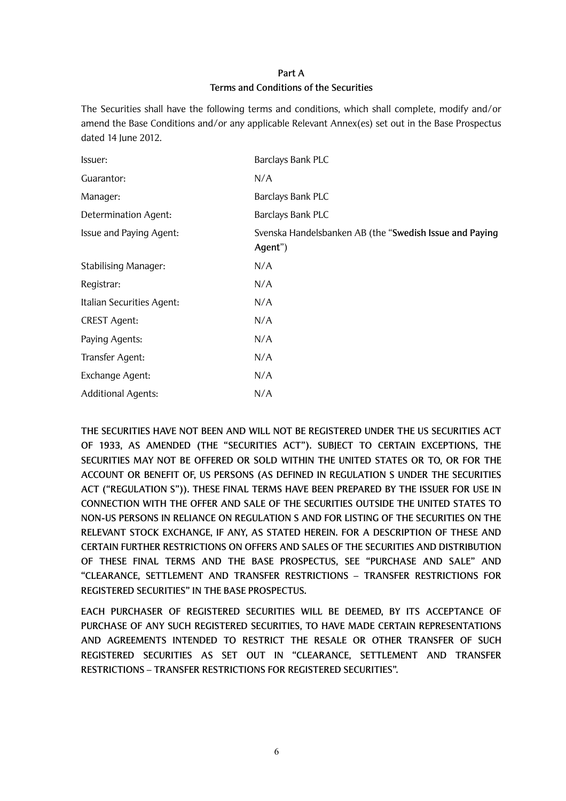## Part A

## **Terms and Conditions of the Securities**

The Securities shall have the following terms and conditions, which shall complete, modify and/or amend the Base Conditions and/or any applicable Relevant Annex(es) set out in the Base Prospectus dated 14 June 2012.

| Issuer:                     | <b>Barclays Bank PLC</b>                                           |
|-----------------------------|--------------------------------------------------------------------|
| Guarantor:                  | N/A                                                                |
| Manager:                    | <b>Barclays Bank PLC</b>                                           |
| <b>Determination Agent:</b> | <b>Barclays Bank PLC</b>                                           |
| Issue and Paying Agent:     | Svenska Handelsbanken AB (the "Swedish Issue and Paying<br>Agent") |
| <b>Stabilising Manager:</b> | N/A                                                                |
| Registrar:                  | N/A                                                                |
| Italian Securities Agent:   | N/A                                                                |
| <b>CREST Agent:</b>         | N/A                                                                |
| Paying Agents:              | N/A                                                                |
| Transfer Agent:             | N/A                                                                |
| Exchange Agent:             | N/A                                                                |
| <b>Additional Agents:</b>   | N/A                                                                |

THE SECURITIES HAVE NOT BEEN AND WILL NOT BE REGISTERED UNDER THE US SECURITIES ACT OF 1933, AS AMENDED (THE "SECURITIES ACT"). SUBJECT TO CERTAIN EXCEPTIONS, THE SECURITIES MAY NOT BE OFFERED OR SOLD WITHIN THE UNITED STATES OR TO, OR FOR THE ACCOUNT OR BENEFIT OF, US PERSONS (AS DEFINED IN REGULATION S UNDER THE SECURITIES ACT ("REGULATION S")). THESE FINAL TERMS HAVE BEEN PREPARED BY THE ISSUER FOR USE IN CONNECTION WITH THE OFFER AND SALE OF THE SECURITIES OUTSIDE THE UNITED STATES TO NON-US PERSONS IN RELIANCE ON REGULATION S AND FOR LISTING OF THE SECURITIES ON THE RELEVANT STOCK EXCHANGE, IF ANY, AS STATED HEREIN. FOR A DESCRIPTION OF THESE AND CERTAIN FURTHER RESTRICTIONS ON OFFERS AND SALES OF THE SECURITIES AND DISTRIBUTION OF THESE FINAL TERMS AND THE BASE PROSPECTUS, SEE "PURCHASE AND SALE" AND "CLEARANCE, SETTLEMENT AND TRANSFER RESTRICTIONS - TRANSFER RESTRICTIONS FOR REGISTERED SECURITIES" IN THE BASE PROSPECTUS.

EACH PURCHASER OF REGISTERED SECURITIES WILL BE DEEMED, BY ITS ACCEPTANCE OF PURCHASE OF ANY SUCH REGISTERED SECURITIES, TO HAVE MADE CERTAIN REPRESENTATIONS AND AGREEMENTS INTENDED TO RESTRICT THE RESALE OR OTHER TRANSFER OF SUCH REGISTERED SECURITIES AS SET OUT IN "CLEARANCE, SETTLEMENT AND TRANSFER **RESTRICTIONS - TRANSFER RESTRICTIONS FOR REGISTERED SECURITIES".**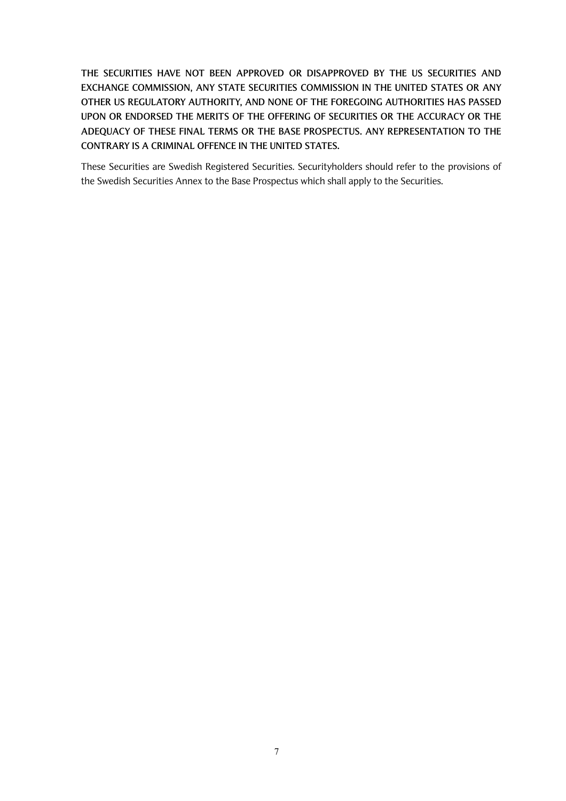THE SECURITIES HAVE NOT BEEN APPROVED OR DISAPPROVED BY THE US SECURITIES AND EXCHANGE COMMISSION, ANY STATE SECURITIES COMMISSION IN THE UNITED STATES OR ANY OTHER US REGULATORY AUTHORITY, AND NONE OF THE FOREGOING AUTHORITIES HAS PASSED UPON OR ENDORSED THE MERITS OF THE OFFERING OF SECURITIES OR THE ACCURACY OR THE ADEQUACY OF THESE FINAL TERMS OR THE BASE PROSPECTUS. ANY REPRESENTATION TO THE CONTRARY IS A CRIMINAL OFFENCE IN THE UNITED STATES.

These Securities are Swedish Registered Securities. Securityholders should refer to the provisions of the Swedish Securities Annex to the Base Prospectus which shall apply to the Securities.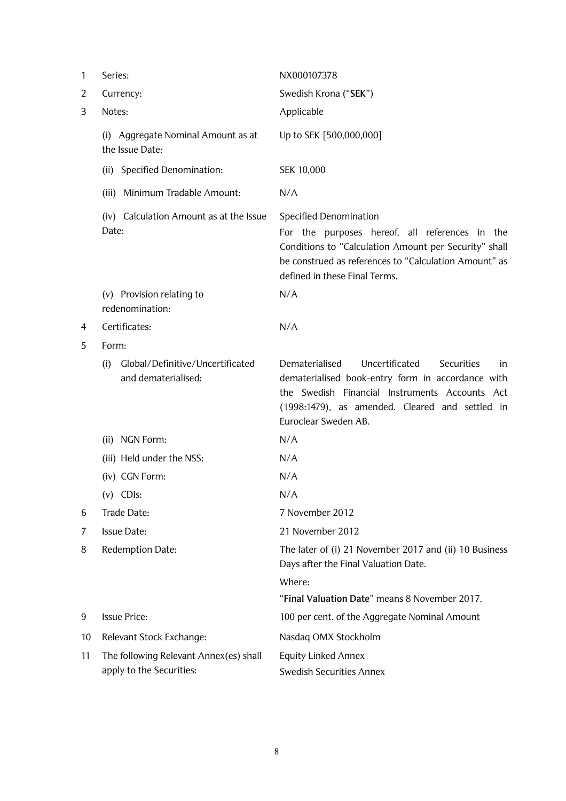| 1  | Series:                                                        | NX000107378                                                                                                                                                                                                                            |  |  |
|----|----------------------------------------------------------------|----------------------------------------------------------------------------------------------------------------------------------------------------------------------------------------------------------------------------------------|--|--|
| 2  | Currency:                                                      | Swedish Krona ("SEK")                                                                                                                                                                                                                  |  |  |
| 3  | Notes:                                                         | Applicable                                                                                                                                                                                                                             |  |  |
|    | (i) Aggregate Nominal Amount as at<br>the Issue Date:          | Up to SEK [500,000,000]                                                                                                                                                                                                                |  |  |
|    | (ii) Specified Denomination:                                   | SEK 10,000                                                                                                                                                                                                                             |  |  |
|    | (iii) Minimum Tradable Amount:                                 | N/A                                                                                                                                                                                                                                    |  |  |
|    | (iv) Calculation Amount as at the Issue                        | <b>Specified Denomination</b>                                                                                                                                                                                                          |  |  |
|    | Date:                                                          | For the purposes hereof, all references in the<br>Conditions to "Calculation Amount per Security" shall<br>be construed as references to "Calculation Amount" as<br>defined in these Final Terms.                                      |  |  |
|    | (v) Provision relating to<br>redenomination:                   | N/A                                                                                                                                                                                                                                    |  |  |
| 4  | Certificates:                                                  | N/A                                                                                                                                                                                                                                    |  |  |
| 5  | Form:                                                          |                                                                                                                                                                                                                                        |  |  |
|    | Global/Definitive/Uncertificated<br>(i)<br>and dematerialised: | Uncertificated<br>Dematerialised<br>Securities<br>in<br>dematerialised book-entry form in accordance with<br>the Swedish Financial Instruments Accounts Act<br>(1998:1479), as amended. Cleared and settled in<br>Euroclear Sweden AB. |  |  |
|    | (ii) NGN Form:                                                 | N/A                                                                                                                                                                                                                                    |  |  |
|    | (iii) Held under the NSS:                                      | N/A                                                                                                                                                                                                                                    |  |  |
|    | (iv) CGN Form:                                                 | N/A                                                                                                                                                                                                                                    |  |  |
|    | $(v)$ CDIs:                                                    | N/A                                                                                                                                                                                                                                    |  |  |
| 6  | Trade Date:                                                    | 7 November 2012                                                                                                                                                                                                                        |  |  |
| 7  | <b>Issue Date:</b>                                             | 21 November 2012                                                                                                                                                                                                                       |  |  |
| 8  | <b>Redemption Date:</b>                                        | The later of (i) 21 November 2017 and (ii) 10 Business<br>Days after the Final Valuation Date.                                                                                                                                         |  |  |
|    |                                                                | Where:                                                                                                                                                                                                                                 |  |  |
|    |                                                                | "Final Valuation Date" means 8 November 2017.                                                                                                                                                                                          |  |  |
| 9  | <b>Issue Price:</b>                                            | 100 per cent. of the Aggregate Nominal Amount                                                                                                                                                                                          |  |  |
| 10 | Relevant Stock Exchange:                                       | Nasdaq OMX Stockholm                                                                                                                                                                                                                   |  |  |
| 11 | The following Relevant Annex(es) shall                         | <b>Equity Linked Annex</b>                                                                                                                                                                                                             |  |  |
|    | apply to the Securities:                                       | <b>Swedish Securities Annex</b>                                                                                                                                                                                                        |  |  |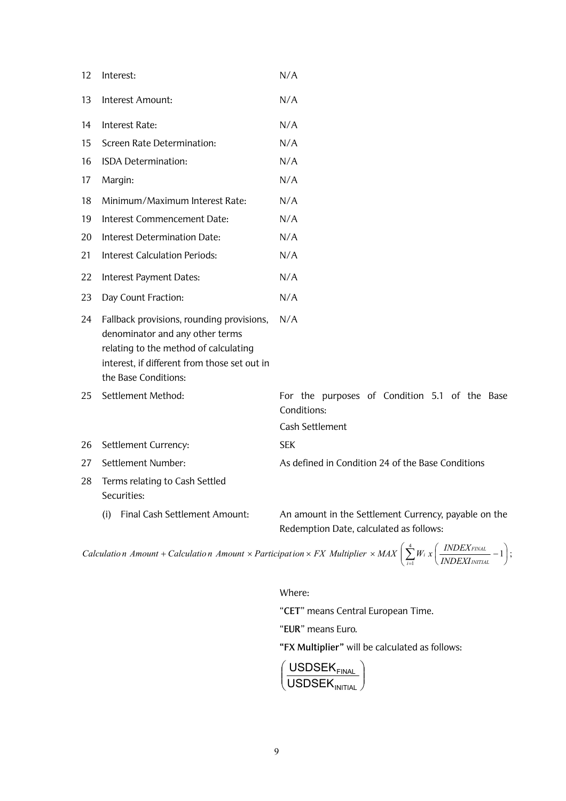| 12 | Interest:                                                                                                                                                                                     | N/A                                                                                             |
|----|-----------------------------------------------------------------------------------------------------------------------------------------------------------------------------------------------|-------------------------------------------------------------------------------------------------|
| 13 | Interest Amount:                                                                                                                                                                              | N/A                                                                                             |
| 14 | Interest Rate:                                                                                                                                                                                | N/A                                                                                             |
| 15 | Screen Rate Determination:                                                                                                                                                                    | N/A                                                                                             |
| 16 | ISDA Determination:                                                                                                                                                                           | N/A                                                                                             |
| 17 | Margin:                                                                                                                                                                                       | N/A                                                                                             |
| 18 | Minimum/Maximum Interest Rate:                                                                                                                                                                | N/A                                                                                             |
| 19 | Interest Commencement Date:                                                                                                                                                                   | N/A                                                                                             |
| 20 | <b>Interest Determination Date:</b>                                                                                                                                                           | N/A                                                                                             |
| 21 | <b>Interest Calculation Periods:</b>                                                                                                                                                          | N/A                                                                                             |
| 22 | Interest Payment Dates:                                                                                                                                                                       | N/A                                                                                             |
| 23 | Day Count Fraction:                                                                                                                                                                           | N/A                                                                                             |
| 24 | Fallback provisions, rounding provisions,<br>denominator and any other terms<br>relating to the method of calculating<br>interest, if different from those set out in<br>the Base Conditions: | N/A                                                                                             |
| 25 | Settlement Method:                                                                                                                                                                            | For the purposes of Condition 5.1 of the Base<br>Conditions:<br>Cash Settlement                 |
| 26 | Settlement Currency:                                                                                                                                                                          | <b>SEK</b>                                                                                      |
| 27 | Settlement Number:                                                                                                                                                                            | As defined in Condition 24 of the Base Conditions                                               |
| 28 | Terms relating to Cash Settled<br>Securities:                                                                                                                                                 |                                                                                                 |
|    | Final Cash Settlement Amount:<br>(i)                                                                                                                                                          | An amount in the Settlement Currency, payable on the<br>Redemption Date, calculated as follows: |
|    |                                                                                                                                                                                               | $\left( \begin{array}{ccc} 4 & \sqrt{N} \end{array} \right)$                                    |

Calculation Amount + Calculation Amount × Participation × FX Multiplier × MAX  $\left(\sum_{i=1}^{4} W_i x \left(\frac{INDEX_{FINAL}}{INDEX_{INITILL}}-1\right);$ 

Where: "CET" means Central European Time. "EUR" means Euro. "FX Multiplier" will be calculated as follows:

 $\left(\frac{\text{USDSEK}_{\text{FINAL}}}{\text{USDSEK}_{\text{INITIAL}}}\right)$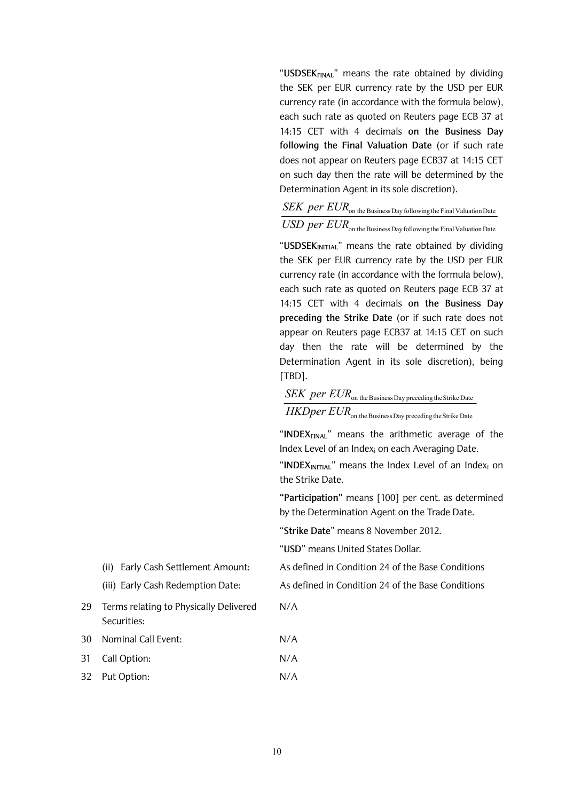"USDSEK<sub>FINAL</sub>" means the rate obtained by dividing the SEK per EUR currency rate by the USD per EUR currency rate (in accordance with the formula below). each such rate as quoted on Reuters page ECB 37 at 14:15 CET with 4 decimals on the Business Day following the Final Valuation Date (or if such rate does not appear on Reuters page ECB37 at 14:15 CET on such day then the rate will be determined by the Determination Agent in its sole discretion).

## $SEK\ per\ EUR_{\rm on\ the\ Business\ Day\ following\ the\ Final\ Valuation\ Date}$  $\overline{USD\ per\ EUR_{\text{on the Business Day} }}$  following the Final Valuation Date

"USDSEK<sub>INITIAL</sub>" means the rate obtained by dividing the SEK per EUR currency rate by the USD per EUR currency rate (in accordance with the formula below), each such rate as quoted on Reuters page ECB 37 at 14:15 CET with 4 decimals on the Business Day preceding the Strike Date (or if such rate does not appear on Reuters page ECB37 at 14:15 CET on such day then the rate will be determined by the Determination Agent in its sole discretion), being  $[TBD]$ .

# SEK per  $EUR_{\text{on the Business Day preceding the Strike Date}}$

 $HKDper$   $EUR_{\text{on the Business Day preceding the Strike Date}}$ 

"INDEX<sub>FINAL</sub>" means the arithmetic average of the Index Level of an Index<sub>i</sub> on each Averaging Date.

"INDEX<sub>INITIAL</sub>" means the Index Level of an Index<sub>i</sub> on the Strike Date.

"Participation" means [100] per cent. as determined by the Determination Agent on the Trade Date.

"Strike Date" means 8 November 2012.

"USD" means United States Dollar

- As defined in Condition 24 of the Base Conditions
- 29 Terms relating to Physically Delivered Securities:

(ii) Early Cash Settlement Amount:

(iii) Early Cash Redemption Date:

- 30 Nominal Call Event:  $N/A$
- 31 Call Option:
- 32 Put Option:  $N/A$

 $N/A$ 

 $N/A$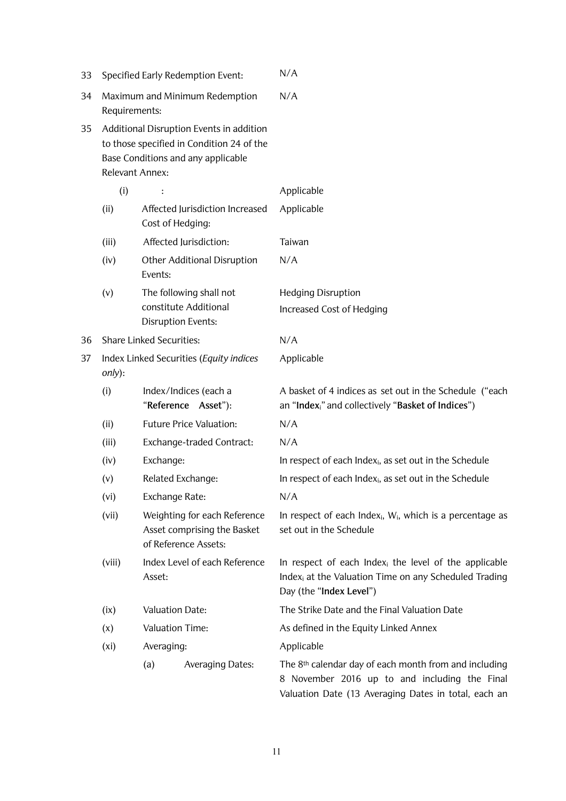| 33 | <b>Specified Early Redemption Event:</b>                                                                                                              |                                 |                                                     | N/A                                                                                                                                                                        |  |  |
|----|-------------------------------------------------------------------------------------------------------------------------------------------------------|---------------------------------|-----------------------------------------------------|----------------------------------------------------------------------------------------------------------------------------------------------------------------------------|--|--|
| 34 | Maximum and Minimum Redemption<br>Requirements:                                                                                                       |                                 |                                                     | N/A                                                                                                                                                                        |  |  |
| 35 | Additional Disruption Events in addition<br>to those specified in Condition 24 of the<br>Base Conditions and any applicable<br><b>Relevant Annex:</b> |                                 |                                                     |                                                                                                                                                                            |  |  |
|    | (i)                                                                                                                                                   |                                 |                                                     | Applicable                                                                                                                                                                 |  |  |
|    | (ii)                                                                                                                                                  |                                 | Affected Jurisdiction Increased<br>Cost of Hedging: | Applicable                                                                                                                                                                 |  |  |
|    | (iii)                                                                                                                                                 |                                 | Affected Jurisdiction:                              | Taiwan                                                                                                                                                                     |  |  |
|    | (iv)                                                                                                                                                  | Events:                         | Other Additional Disruption                         | N/A                                                                                                                                                                        |  |  |
|    | The following shall not<br>(v)<br>constitute Additional<br><b>Disruption Events:</b>                                                                  |                                 |                                                     | <b>Hedging Disruption</b><br>Increased Cost of Hedging                                                                                                                     |  |  |
| 36 |                                                                                                                                                       | <b>Share Linked Securities:</b> |                                                     | N/A                                                                                                                                                                        |  |  |
| 37 | Index Linked Securities (Equity indices<br>only):<br>(i)<br>Index/Indices (each a<br>"Reference Asset"):                                              |                                 |                                                     | Applicable                                                                                                                                                                 |  |  |
|    |                                                                                                                                                       |                                 |                                                     | A basket of 4 indices as set out in the Schedule ("each<br>an "Index <sub>i</sub> " and collectively "Basket of Indices")                                                  |  |  |
|    | <b>Future Price Valuation:</b><br>(ii)                                                                                                                |                                 |                                                     | N/A                                                                                                                                                                        |  |  |
|    | Exchange-traded Contract:<br>(iii)                                                                                                                    |                                 |                                                     | N/A                                                                                                                                                                        |  |  |
|    | (iv)                                                                                                                                                  | Exchange:                       |                                                     | In respect of each Index <sub>i</sub> , as set out in the Schedule                                                                                                         |  |  |
|    | Related Exchange:<br>(v)                                                                                                                              |                                 |                                                     | In respect of each Index <sub>i</sub> , as set out in the Schedule                                                                                                         |  |  |
|    | (vi)                                                                                                                                                  | <b>Exchange Rate:</b>           |                                                     | N/A                                                                                                                                                                        |  |  |
|    | (vii)<br>Weighting for each Reference<br>Asset comprising the Basket<br>of Reference Assets:                                                          |                                 |                                                     | In respect of each Index <sub>i</sub> , $W_i$ , which is a percentage as<br>set out in the Schedule                                                                        |  |  |
|    | (viii)<br>Index Level of each Reference<br>Asset:                                                                                                     |                                 |                                                     | In respect of each Index <sub>i</sub> the level of the applicable<br>Index <sub>i</sub> at the Valuation Time on any Scheduled Trading<br>Day (the "Index Level")          |  |  |
|    | <b>Valuation Date:</b><br>(ix)                                                                                                                        |                                 |                                                     | The Strike Date and the Final Valuation Date                                                                                                                               |  |  |
|    | <b>Valuation Time:</b><br>(x)                                                                                                                         |                                 |                                                     | As defined in the Equity Linked Annex                                                                                                                                      |  |  |
|    | (xi)<br>Averaging:                                                                                                                                    |                                 |                                                     | Applicable                                                                                                                                                                 |  |  |
|    |                                                                                                                                                       | (a)                             | <b>Averaging Dates:</b>                             | The 8 <sup>th</sup> calendar day of each month from and including<br>8 November 2016 up to and including the Final<br>Valuation Date (13 Averaging Dates in total, each an |  |  |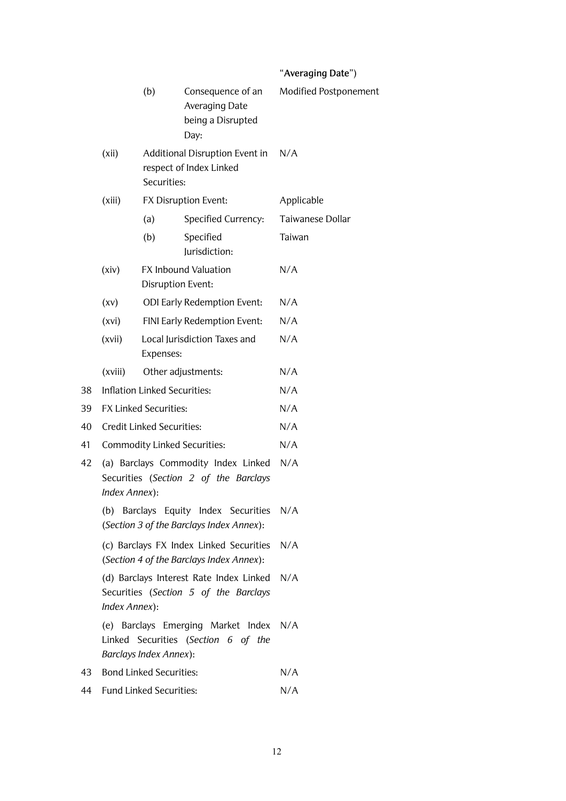|    |                                                                                                       |                                  |                                                                                     | "Averaging Date")     |
|----|-------------------------------------------------------------------------------------------------------|----------------------------------|-------------------------------------------------------------------------------------|-----------------------|
|    |                                                                                                       | (b)                              | Consequence of an<br><b>Averaging Date</b><br>being a Disrupted<br>Day:             | Modified Postponement |
|    | (xii)                                                                                                 | Securities:                      | Additional Disruption Event in<br>respect of Index Linked                           | N/A                   |
|    | (xiii)                                                                                                |                                  | FX Disruption Event:                                                                | Applicable            |
|    |                                                                                                       | (a)                              | <b>Specified Currency:</b>                                                          | Taiwanese Dollar      |
|    |                                                                                                       | (b)                              | Specified<br>lurisdiction:                                                          | Taiwan                |
|    | (xiv)                                                                                                 | Disruption Event:                | FX Inbound Valuation                                                                | N/A                   |
|    | (xv)                                                                                                  |                                  | <b>ODI Early Redemption Event:</b>                                                  | N/A                   |
|    | (xvi)                                                                                                 |                                  | FINI Early Redemption Event:                                                        | N/A                   |
|    | (xvii)                                                                                                | Expenses:                        | Local Jurisdiction Taxes and                                                        | N/A                   |
|    | (xviii)                                                                                               |                                  | Other adjustments:                                                                  | N/A                   |
| 38 |                                                                                                       | Inflation Linked Securities:     |                                                                                     | N/A                   |
| 39 |                                                                                                       | FX Linked Securities:            |                                                                                     | N/A                   |
| 40 |                                                                                                       | <b>Credit Linked Securities:</b> |                                                                                     | N/A                   |
| 41 |                                                                                                       |                                  | Commodity Linked Securities:                                                        | N/A                   |
| 42 | (a) Barclays Commodity Index Linked<br>Securities (Section 2 of the Barclays<br><i>Index Annex</i> ): |                                  | N/A                                                                                 |                       |
|    | (b)                                                                                                   |                                  | Barclays Equity Index Securities<br>(Section 3 of the Barclays Index Annex):        | N/A                   |
|    |                                                                                                       |                                  | (c) Barclays FX Index Linked Securities<br>(Section 4 of the Barclays Index Annex): | N/A                   |
|    | Index Annex):                                                                                         |                                  | (d) Barclays Interest Rate Index Linked<br>Securities (Section 5 of the Barclays    | N/A                   |
|    |                                                                                                       | <b>Barclays Index Annex):</b>    | (e) Barclays Emerging Market Index<br>Linked Securities (Section 6 of the           | N/A                   |
| 43 |                                                                                                       | <b>Bond Linked Securities:</b>   |                                                                                     | N/A                   |
| 44 |                                                                                                       | <b>Fund Linked Securities:</b>   |                                                                                     | N/A                   |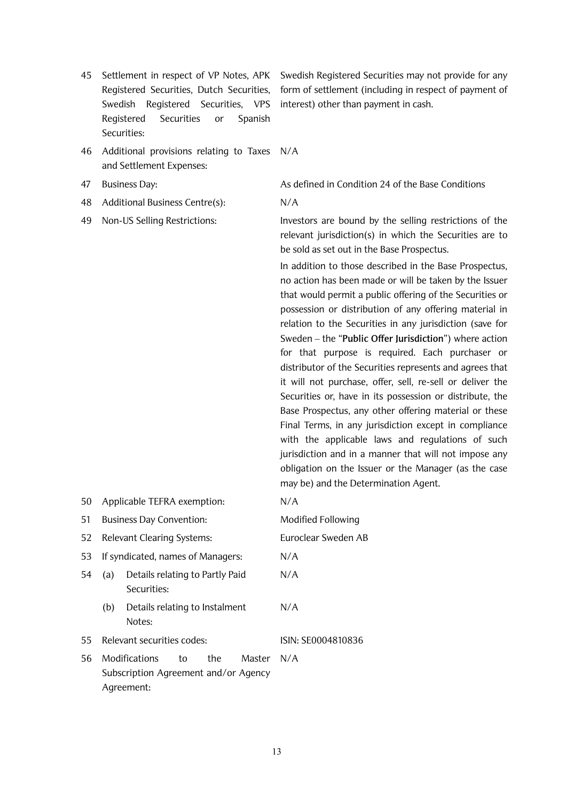- 45 Settlement in respect of VP Notes, APK Registered Securities, Dutch Securities, Swedish Registered Securities, VPS Registered Securities or Spanish Securities:
- 46 Additional provisions relating to Taxes N/A and Settlement Expenses:
- 47 **Business Day:**
- 48 Additional Business Centre(s):

49 Non-US Selling Restrictions:

Swedish Registered Securities may not provide for any form of settlement (including in respect of payment of interest) other than payment in cash.

As defined in Condition 24 of the Base Conditions

 $N/A$ 

Investors are bound by the selling restrictions of the relevant jurisdiction(s) in which the Securities are to be sold as set out in the Base Prospectus.

In addition to those described in the Base Prospectus, no action has been made or will be taken by the Issuer that would permit a public offering of the Securities or possession or distribution of any offering material in relation to the Securities in any jurisdiction (save for Sweden - the "Public Offer Jurisdiction") where action for that purpose is required. Each purchaser or distributor of the Securities represents and agrees that it will not purchase, offer, sell, re-sell or deliver the Securities or, have in its possession or distribute, the Base Prospectus, any other offering material or these Final Terms, in any jurisdiction except in compliance with the applicable laws and regulations of such jurisdiction and in a manner that will not impose any obligation on the Issuer or the Manager (as the case may be) and the Determination Agent.

| 50  | Applicable TEFRA exemption:                                                                       |                                   |  |  |     | N/A                       |  |
|-----|---------------------------------------------------------------------------------------------------|-----------------------------------|--|--|-----|---------------------------|--|
| 51  | <b>Business Day Convention:</b>                                                                   |                                   |  |  |     | <b>Modified Following</b> |  |
| 52  |                                                                                                   | Relevant Clearing Systems:        |  |  |     | Euroclear Sweden AB       |  |
| 53  |                                                                                                   | If syndicated, names of Managers: |  |  |     | N/A                       |  |
| 54  | Details relating to Partly Paid<br>(a)<br>Securities:                                             |                                   |  |  |     | N/A                       |  |
|     | Details relating to Instalment<br>(b)<br>Notes:                                                   |                                   |  |  |     | N/A                       |  |
| 55. | Relevant securities codes:<br>ISIN: SE0004810836                                                  |                                   |  |  |     |                           |  |
| 56  | <b>Modifications</b><br>the<br>Master<br>to<br>Subscription Agreement and/or Agency<br>Agreement: |                                   |  |  | N/A |                           |  |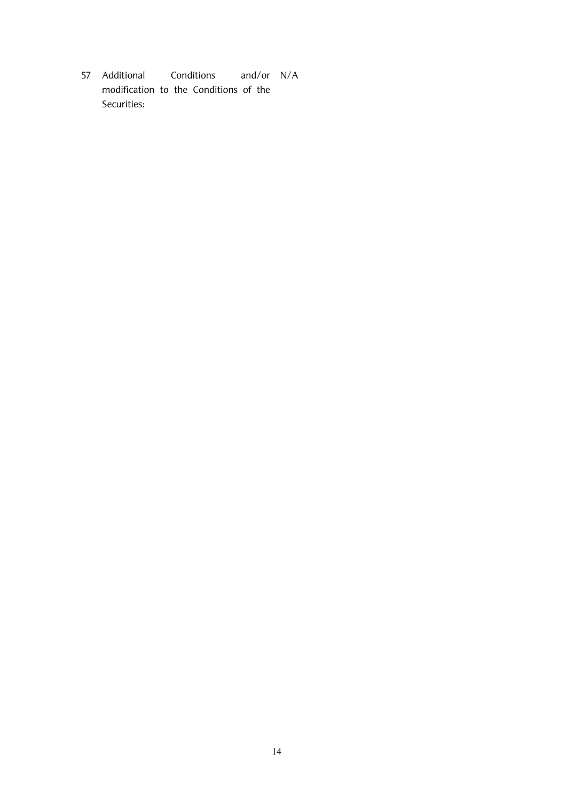57 Additional Conditions and/or N/A modification to the Conditions of the Securities: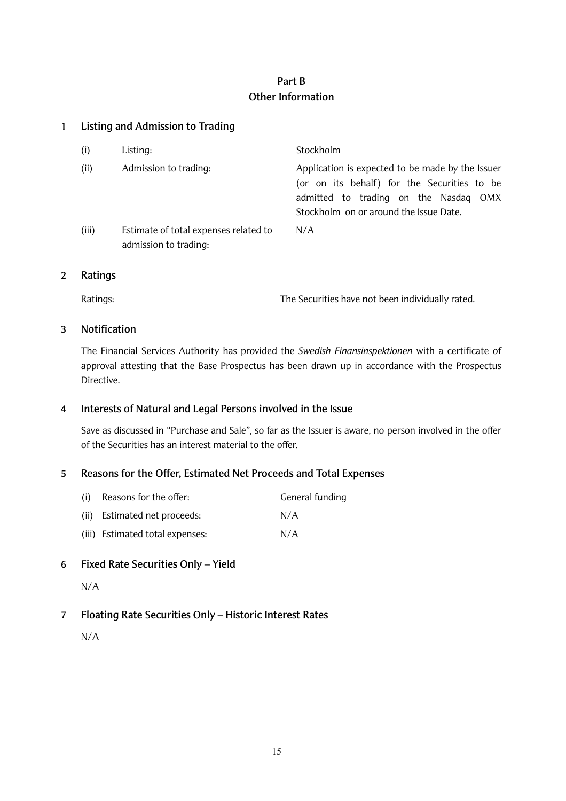## Part B **Other Information**

#### **Listing and Admission to Trading**  $\mathbf{1}$

| (i)   | Listing:                                                       | Stockholm                                                                                                                                                                             |
|-------|----------------------------------------------------------------|---------------------------------------------------------------------------------------------------------------------------------------------------------------------------------------|
| (ii)  | Admission to trading:                                          | Application is expected to be made by the Issuer<br>(or on its behalf) for the Securities to be<br>admitted to trading on the Nasdaq<br>OMX<br>Stockholm on or around the Issue Date. |
| (iii) | Estimate of total expenses related to<br>admission to trading: | N/A                                                                                                                                                                                   |

#### $\overline{2}$ Ratings

Ratings:

The Securities have not been individually rated.

#### **Notification**  $\overline{3}$

The Financial Services Authority has provided the Swedish Finansinspektionen with a certificate of approval attesting that the Base Prospectus has been drawn up in accordance with the Prospectus Directive.

#### Interests of Natural and Legal Persons involved in the Issue  $\overline{4}$

Save as discussed in "Purchase and Sale", so far as the Issuer is aware, no person involved in the offer of the Securities has an interest material to the offer.

#### Reasons for the Offer, Estimated Net Proceeds and Total Expenses  $5<sup>5</sup>$

| (i) | Reasons for the offer:          | General funding |
|-----|---------------------------------|-----------------|
|     | (ii) Estimated net proceeds:    | N/A             |
|     | (iii) Estimated total expenses: | N/A             |

#### Fixed Rate Securities Only - Yield  $6<sup>1</sup>$

 $N/A$ 

#### $\overline{7}$ Floating Rate Securities Only - Historic Interest Rates

 $N/A$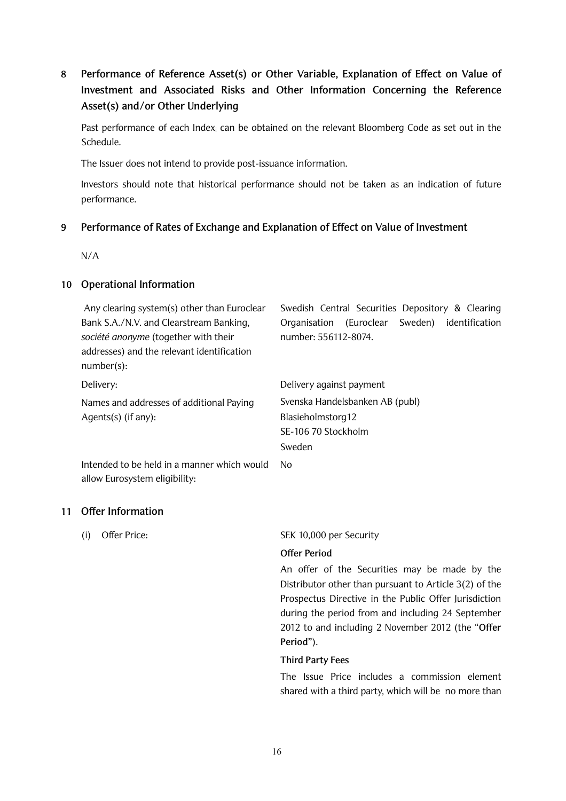## 8 Performance of Reference Asset(s) or Other Variable, Explanation of Effect on Value of Investment and Associated Risks and Other Information Concerning the Reference Asset(s) and/or Other Underlying

Past performance of each Index<sub>i</sub> can be obtained on the relevant Bloomberg Code as set out in the Schedule.

The Issuer does not intend to provide post-issuance information.

Investors should note that historical performance should not be taken as an indication of future performance.

#### Performance of Rates of Exchange and Explanation of Effect on Value of Investment 9

 $N/A$ 

## 10 Operational Information

| Any clearing system(s) other than Euroclear                                                        | Swedish Central Securities Depository & Clearing |  |  |  |
|----------------------------------------------------------------------------------------------------|--------------------------------------------------|--|--|--|
| Bank S.A./N.V. and Clearstream Banking,<br>(Euroclear<br>Sweden)<br>Organisation<br>identification |                                                  |  |  |  |
| société anonyme (together with their                                                               | number: 556112-8074.                             |  |  |  |
| addresses) and the relevant identification                                                         |                                                  |  |  |  |
| number(s):                                                                                         |                                                  |  |  |  |
| Delivery:                                                                                          | Delivery against payment                         |  |  |  |
| Names and addresses of additional Paying                                                           | Svenska Handelsbanken AB (publ)                  |  |  |  |
| Agents $(s)$ (if any):                                                                             | Blasieholmstorg12                                |  |  |  |
|                                                                                                    | SE-106 70 Stockholm                              |  |  |  |
|                                                                                                    | Sweden                                           |  |  |  |
| Intended to be held in a manner which would<br>allow Eurosystem eligibility:                       | No.                                              |  |  |  |

## 11 Offer Information

(i) Offer Price:

SEK 10,000 per Security

## **Offer Period**

An offer of the Securities may be made by the Distributor other than pursuant to Article 3(2) of the Prospectus Directive in the Public Offer Jurisdiction during the period from and including 24 September 2012 to and including 2 November 2012 (the "Offer Period").

## **Third Party Fees**

The Issue Price includes a commission element shared with a third party, which will be no more than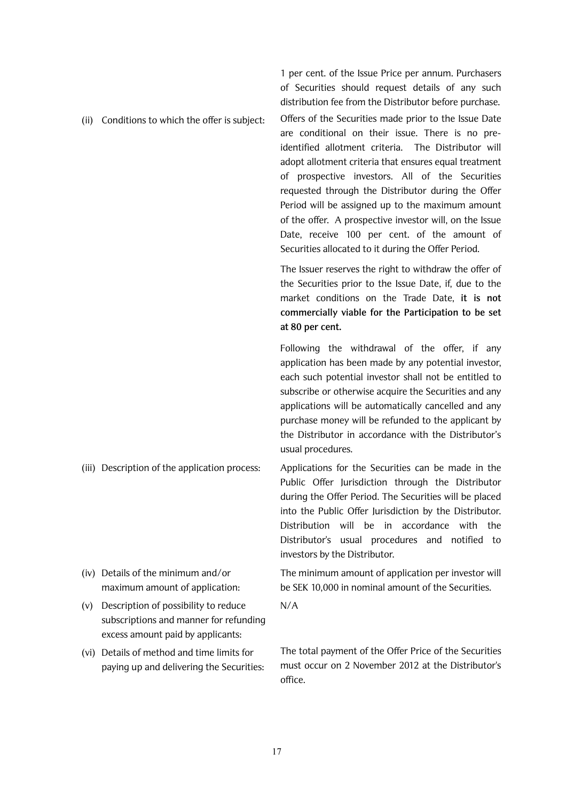(ii) Conditions to which the offer is subject:

1 per cent. of the Issue Price per annum. Purchasers of Securities should request details of any such distribution fee from the Distributor before purchase. Offers of the Securities made prior to the Issue Date are conditional on their issue. There is no preidentified allotment criteria. The Distributor will adopt allotment criteria that ensures equal treatment of prospective investors. All of the Securities requested through the Distributor during the Offer Period will be assigned up to the maximum amount of the offer. A prospective investor will, on the Issue Date, receive 100 per cent. of the amount of Securities allocated to it during the Offer Period.

The Issuer reserves the right to withdraw the offer of the Securities prior to the Issue Date, if, due to the market conditions on the Trade Date, it is not commercially viable for the Participation to be set at 80 per cent.

Following the withdrawal of the offer, if any application has been made by any potential investor, each such potential investor shall not be entitled to subscribe or otherwise acquire the Securities and any applications will be automatically cancelled and any purchase money will be refunded to the applicant by the Distributor in accordance with the Distributor's usual procedures.

- (iii) Description of the application process: Applications for the Securities can be made in the Public Offer Jurisdiction through the Distributor during the Offer Period. The Securities will be placed into the Public Offer Jurisdiction by the Distributor. Distribution will be in accordance with the Distributor's usual procedures and notified to investors by the Distributor.
- (iv) Details of the minimum and/or The minimum amount of application per investor will maximum amount of application: be SEK 10,000 in nominal amount of the Securities.
	- $N/A$
	- The total payment of the Offer Price of the Securities must occur on 2 November 2012 at the Distributor's office.
- 
- (v) Description of possibility to reduce subscriptions and manner for refunding excess amount paid by applicants:
- (vi) Details of method and time limits for paving up and delivering the Securities: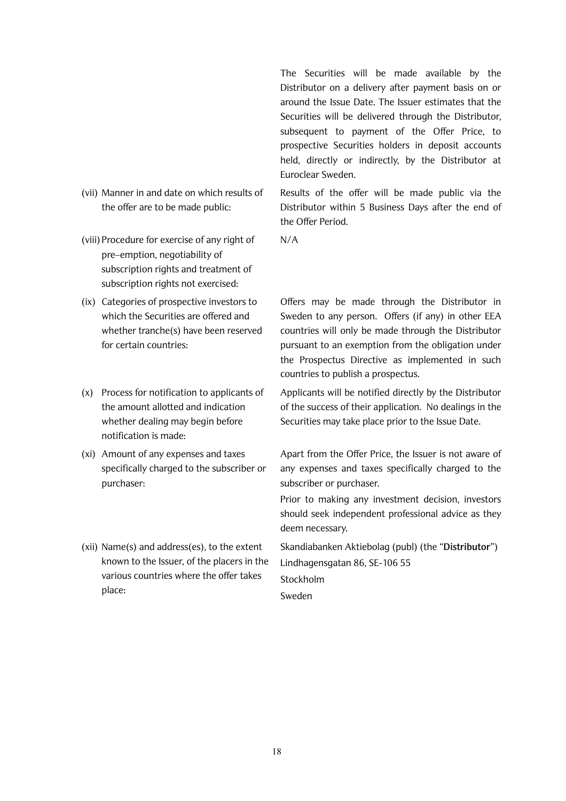(vii) Manner in and date on which results of the offer are to be made public:

- (viii) Procedure for exercise of any right of pre-emption, negotiability of subscription rights and treatment of subscription rights not exercised:
- (ix) Categories of prospective investors to which the Securities are offered and whether tranche(s) have been reserved for certain countries:
- (x) Process for notification to applicants of the amount allotted and indication whether dealing may begin before notification is made:
- (xi) Amount of any expenses and taxes specifically charged to the subscriber or purchaser:
- (xii) Name(s) and address(es), to the extent known to the Issuer, of the placers in the various countries where the offer takes place:

The Securities will be made available by the Distributor on a delivery after payment basis on or around the Issue Date. The Issuer estimates that the Securities will be delivered through the Distributor. subsequent to payment of the Offer Price, to prospective Securities holders in deposit accounts held, directly or indirectly, by the Distributor at Euroclear Sweden.

Results of the offer will be made public via the Distributor within 5 Business Days after the end of the Offer Period.

 $N/A$ 

Offers may be made through the Distributor in Sweden to any person. Offers (if any) in other EEA countries will only be made through the Distributor pursuant to an exemption from the obligation under the Prospectus Directive as implemented in such countries to publish a prospectus.

Applicants will be notified directly by the Distributor of the success of their application. No dealings in the Securities may take place prior to the Issue Date.

Apart from the Offer Price, the Issuer is not aware of any expenses and taxes specifically charged to the subscriber or purchaser.

Prior to making any investment decision, investors should seek independent professional advice as they deem necessary.

Skandiabanken Aktiebolag (publ) (the "Distributor") Lindhagensgatan 86, SE-106 55 Stockholm Sweden